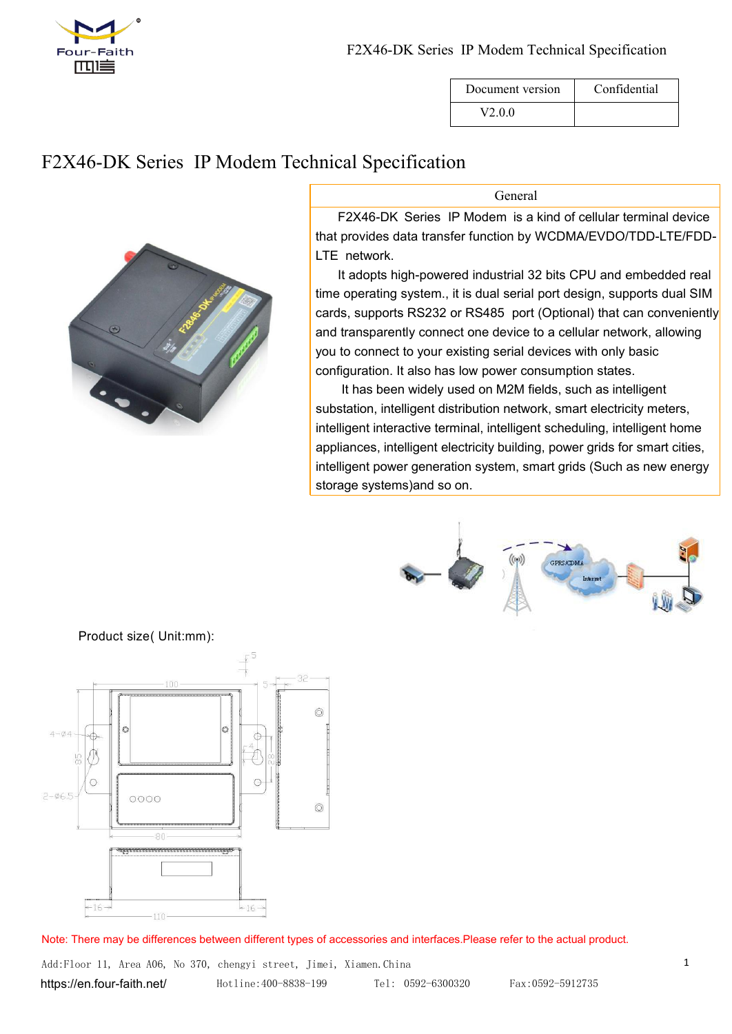

| Document version | Confidential |
|------------------|--------------|
| V200             |              |

# F2X46-DK Series IP Modem Technical Specification

| DOCUMENt VEISION | Comnuemnai |
|------------------|------------|
| V2.0.0           |            |

General

F2X46-DK Series IP Modem is a kind of cellular terminal device that provides data transfer function by WCDMA/EVDO/TDD-LTE/FDD- LTE network.

It adopts high-powered industrial 32 bits CPU and embedded real time operating system., it is dual serial port design, supports dual SIM cards, supports RS232 or RS485 port (Optional) that can conveniently and transparently connect one device to a cellular network, allowing you to connect to your existing serial devices with only basic configuration. It also has low power consumption states.

It has been widely used on M2M fields, such as intelligent substation, intelligent distribution network, smart electricity meters, intelligent interactive terminal, intelligent scheduling, intelligent home appliances, intelligent electricity building, power grids for smart cities, intelligent power generation system, smart grids (Such as new energy storage systems)and so on.





Product size( Unit:mm):

Note: There may be differences between different types of accessories and interfaces.Please refer to the actual product.

Add:Floor 11, Area A06, No 370, chengyi street, Jimei, Xiamen.China 1 <https://en.four-faith.net/> Hotline:400-8838-199 Tel: 0592-6300320 Fax:0592-5912735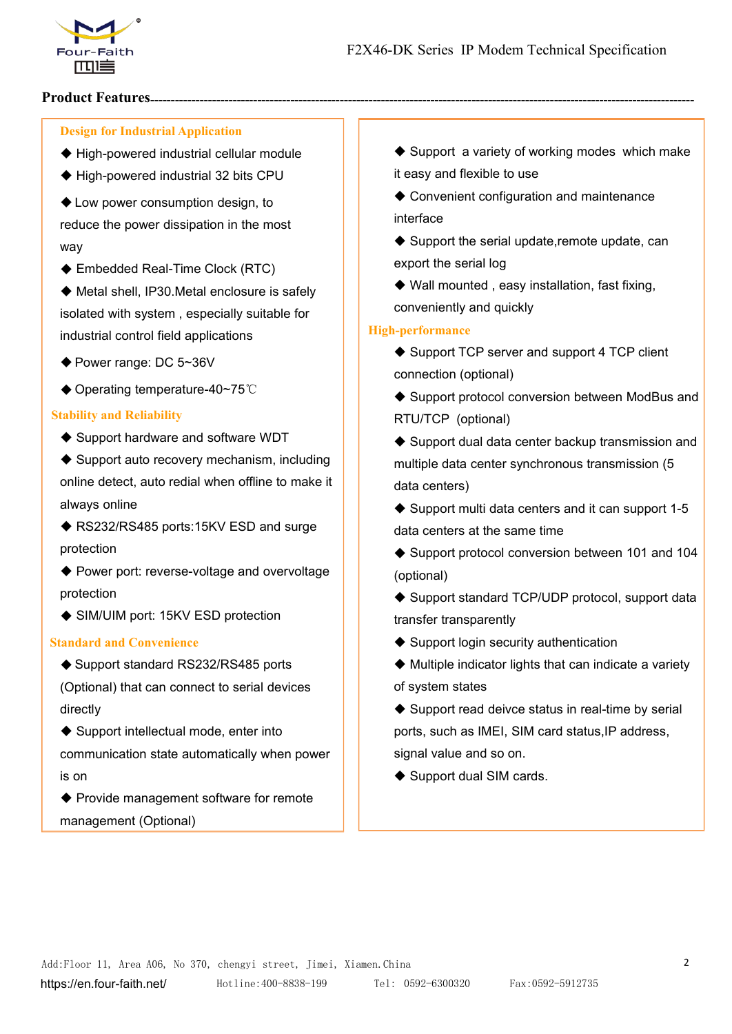

## **Product Features**

## **Design for Industrial Application**

- High-powered industrial cellular module
- ◆ High-powered industrial 32 bits CPU
- ◆ Low power consumption design, to

reduce the power dissipation in the most way

◆ Embedded Real-Time Clock (RTC)

◆ Metal shell, IP30.Metal enclosure is safely isolated with system , especially suitable for industrial control field applications

- ◆ Power range: DC 5~36V
- ◆ Operating temperature-40~75℃

#### **Stability and Reliability**

◆ Support hardware and software WDT

 $\blacklozenge$  Support auto recovery mechanism, including online detect, auto redial when offline to make it always online

◆ RS232/RS485 ports:15KV ESD and surge protection

◆ Power port: reverse-voltage and overvoltage protection

◆ SIM/UIM port: 15KV ESD protection

## **Standard and Convenience**

◆ Support standard RS232/RS485 ports

(Optional) that can connect to serial devices directly

◆ Support intellectual mode, enter into communication state automatically when power | | signal value and so on. is on

◆ Provide management software for remote management (Optional)

◆ Support a variety of working modes which make it easy and flexible to use

◆ Convenient configuration and maintenance interface

 $\blacklozenge$  Support the serial update, remote update, can export the serial log

 Wall mounted , easy installation, fast fixing, conveniently and quickly

#### **High-performance**

- ♦ Support TCP server and support 4 TCP client connection (optional)
- ◆ Support protocol conversion between ModBus and RTU/TCP (optional)

 $\blacklozenge$  Support dual data center backup transmission and multiple data center synchronous transmission (5 data centers)

 $\triangle$  Support multi data centers and it can support 1-5 data centers at the same time

◆ Support protocol conversion between 101 and 104 (optional)

◆ Support standard TCP/UDP protocol, support data transfer transparently

 $\blacklozenge$  Support login security authentication

 Multiple indicator lights that can indicate a variety of system states

 $\blacklozenge$  Support read deivce status in real-time by serial ports, such as IMEI, SIM card status, IP address,

◆ Support dual SIM cards.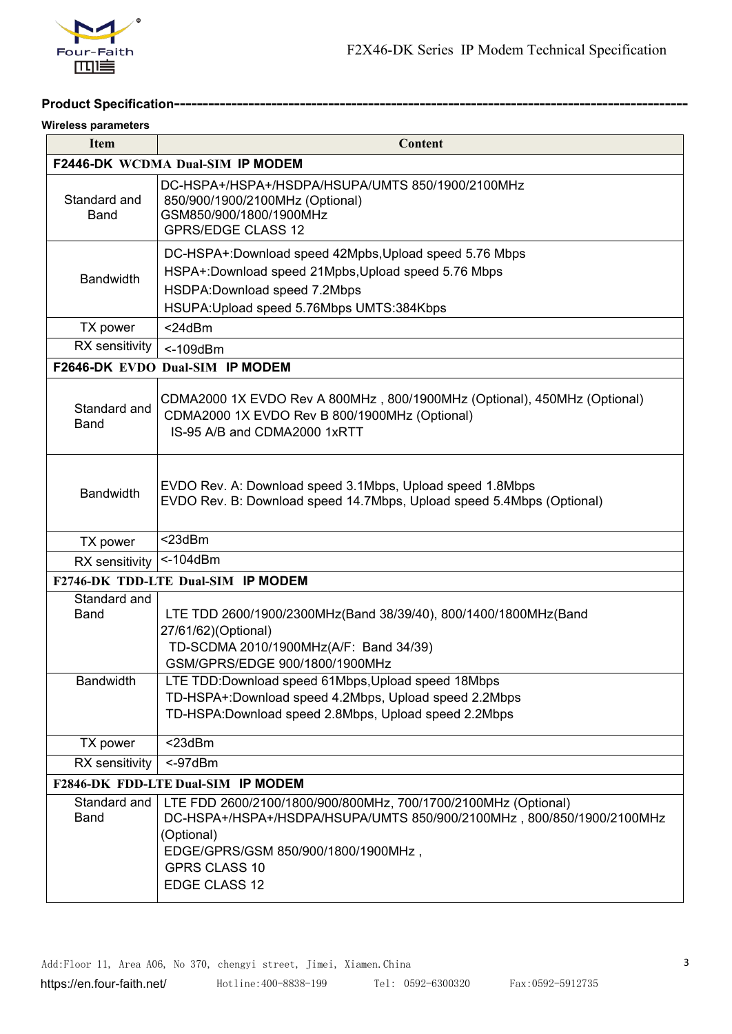

# **Product Specification-------**

#### **Wireless parameters**

| <b>Item</b>                 | <b>Content</b>                                                                                                                                                                                                                        |  |
|-----------------------------|---------------------------------------------------------------------------------------------------------------------------------------------------------------------------------------------------------------------------------------|--|
|                             | F2446-DK WCDMA Dual-SIM IP MODEM                                                                                                                                                                                                      |  |
| Standard and<br><b>Band</b> | DC-HSPA+/HSPA+/HSDPA/HSUPA/UMTS 850/1900/2100MHz<br>850/900/1900/2100MHz (Optional)<br>GSM850/900/1800/1900MHz<br><b>GPRS/EDGE CLASS 12</b>                                                                                           |  |
| <b>Bandwidth</b>            | DC-HSPA+:Download speed 42Mpbs, Upload speed 5.76 Mbps<br>HSPA+:Download speed 21Mpbs, Upload speed 5.76 Mbps<br>HSDPA:Download speed 7.2Mbps<br>HSUPA: Upload speed 5.76Mbps UMTS: 384Kbps                                           |  |
| TX power                    | $<$ 24dBm                                                                                                                                                                                                                             |  |
| RX sensitivity              | $<$ -109dBm                                                                                                                                                                                                                           |  |
|                             | F2646-DK EVDO Dual-SIM IP MODEM                                                                                                                                                                                                       |  |
| Standard and<br><b>Band</b> | CDMA2000 1X EVDO Rev A 800MHz, 800/1900MHz (Optional), 450MHz (Optional)<br>CDMA2000 1X EVDO Rev B 800/1900MHz (Optional)<br>IS-95 A/B and CDMA2000 1xRTT                                                                             |  |
| <b>Bandwidth</b>            | EVDO Rev. A: Download speed 3.1Mbps, Upload speed 1.8Mbps<br>EVDO Rev. B: Download speed 14.7Mbps, Upload speed 5.4Mbps (Optional)                                                                                                    |  |
| TX power                    | $<$ 23dBm                                                                                                                                                                                                                             |  |
| RX sensitivity              | $<$ -104dBm                                                                                                                                                                                                                           |  |
|                             | F2746-DK TDD-LTE Dual-SIM IP MODEM                                                                                                                                                                                                    |  |
| Standard and<br><b>Band</b> | LTE TDD 2600/1900/2300MHz(Band 38/39/40), 800/1400/1800MHz(Band<br>27/61/62)(Optional)<br>TD-SCDMA 2010/1900MHz(A/F: Band 34/39)<br>GSM/GPRS/EDGE 900/1800/1900MHz                                                                    |  |
| <b>Bandwidth</b>            | LTE TDD: Download speed 61 Mbps, Upload speed 18 Mbps<br>TD-HSPA+:Download speed 4.2Mbps, Upload speed 2.2Mbps<br>TD-HSPA: Download speed 2.8Mbps, Upload speed 2.2Mbps                                                               |  |
| TX power                    | $<$ 23dBm                                                                                                                                                                                                                             |  |
| RX sensitivity              | $< -97$ d $Bm$                                                                                                                                                                                                                        |  |
|                             | F2846-DK FDD-LTE Dual-SIM IP MODEM                                                                                                                                                                                                    |  |
| Standard and<br>Band        | LTE FDD 2600/2100/1800/900/800MHz, 700/1700/2100MHz (Optional)<br>DC-HSPA+/HSPA+/HSDPA/HSUPA/UMTS 850/900/2100MHz, 800/850/1900/2100MHz<br>(Optional)<br>EDGE/GPRS/GSM 850/900/1800/1900MHz,<br><b>GPRS CLASS 10</b><br>EDGE CLASS 12 |  |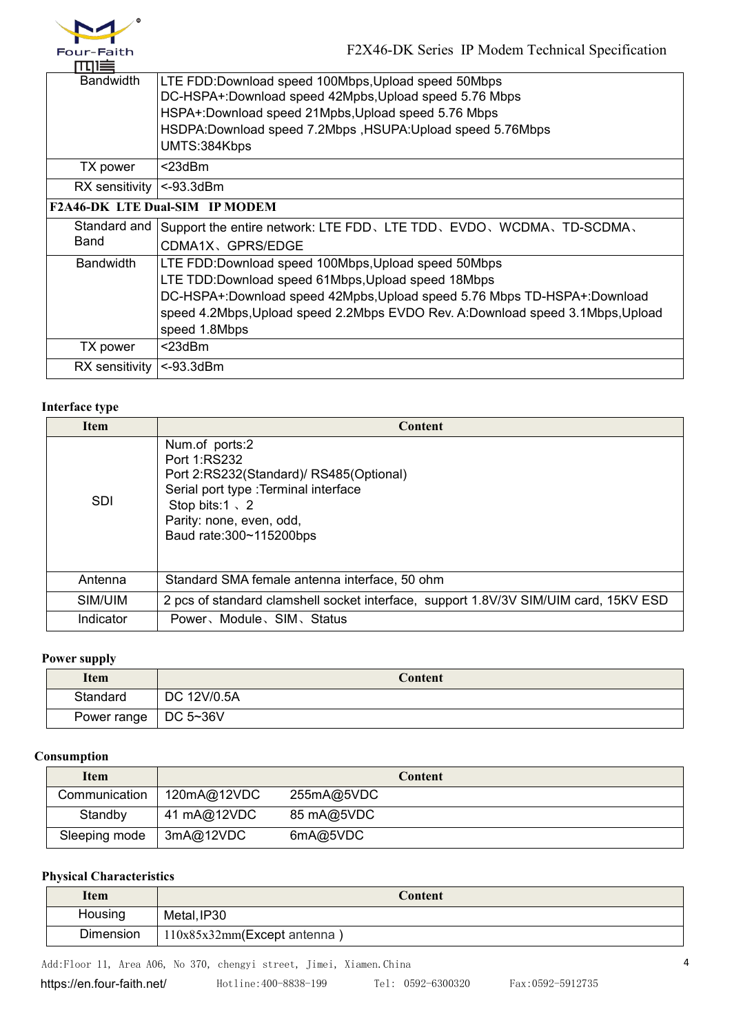

| □□□=                         |                                                                                   |
|------------------------------|-----------------------------------------------------------------------------------|
| <b>Bandwidth</b>             | LTE FDD: Download speed 100Mbps, Upload speed 50Mbps                              |
|                              | DC-HSPA+:Download speed 42Mpbs, Upload speed 5.76 Mbps                            |
|                              | HSPA+:Download speed 21Mpbs, Upload speed 5.76 Mbps                               |
|                              | HSDPA:Download speed 7.2Mbps, HSUPA:Upload speed 5.76Mbps                         |
|                              | UMTS:384Kbps                                                                      |
| TX power                     | $<$ 23dBm                                                                         |
| RX sensitivity $ <$ -93.3dBm |                                                                                   |
|                              | <b>F2A46-DK LTE Dual-SIM IP MODEM</b>                                             |
|                              | Standard and Support the entire network: LTE FDD, LTE TDD, EVDO, WCDMA, TD-SCDMA, |
| <b>Band</b>                  | CDMA1X、GPRS/EDGE                                                                  |
| <b>Bandwidth</b>             | LTE FDD: Download speed 100Mbps, Upload speed 50Mbps                              |
|                              | LTE TDD:Download speed 61Mbps, Upload speed 18Mbps                                |
|                              | DC-HSPA+:Download speed 42Mpbs, Upload speed 5.76 Mbps TD-HSPA+:Download          |
|                              | speed 4.2Mbps, Upload speed 2.2Mbps EVDO Rev. A:Download speed 3.1Mbps, Upload    |
|                              | speed 1.8Mbps                                                                     |
| TX power                     | $<$ 23dBm                                                                         |
| $RX$ sensitivity             | <-93.3dBm                                                                         |
|                              |                                                                                   |

## **Interface type**

| <b>Item</b> | <b>Content</b>                                                                                                                                                                                        |
|-------------|-------------------------------------------------------------------------------------------------------------------------------------------------------------------------------------------------------|
| SDI         | Num.of ports:2<br>Port 1:RS232<br>Port 2:RS232(Standard)/ RS485(Optional)<br>Serial port type : Terminal interface<br>Stop bits: $1 \times 2$<br>Parity: none, even, odd,<br>Baud rate: 300~115200bps |
| Antenna     | Standard SMA female antenna interface, 50 ohm                                                                                                                                                         |
| SIM/UIM     | 2 pcs of standard clamshell socket interface, support 1.8V/3V SIM/UIM card, 15KV ESD                                                                                                                  |
| Indicator   | Power, Module, SIM, Status                                                                                                                                                                            |

## **Power supply**

| Item                   | Content     |
|------------------------|-------------|
| Standard               | DC 12V/0.5A |
| Power range   DC 5~36V |             |

## **Consumption**

| <b>Item</b>   |             | Content    |
|---------------|-------------|------------|
| Communication | 120mA@12VDC | 255mA@5VDC |
| Standby       | 41 mA@12VDC | 85 mA@5VDC |
| Sleeping mode | 3mA@12VDC   | 6mA@5VDC   |

## **Physical Characteristics**

| Item      | Content                     |  |
|-----------|-----------------------------|--|
| Housing   | Metal, IP30                 |  |
| Dimension | 110x85x32mm(Except antenna) |  |